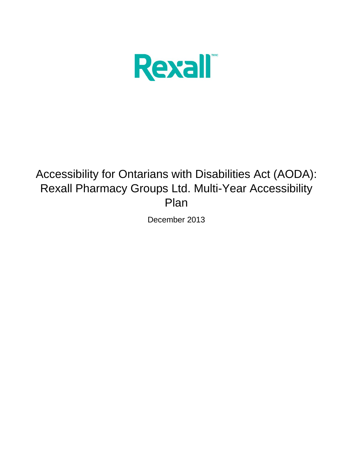

# Accessibility for Ontarians with Disabilities Act (AODA): Rexall Pharmacy Groups Ltd. Multi-Year Accessibility Plan

December 2013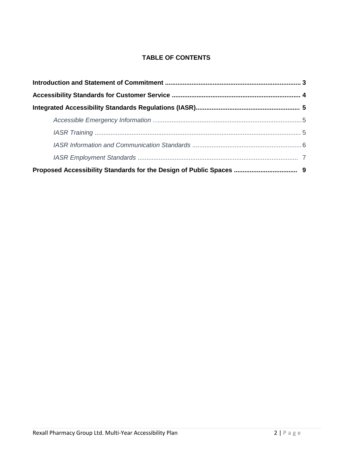## **TABLE OF CONTENTS**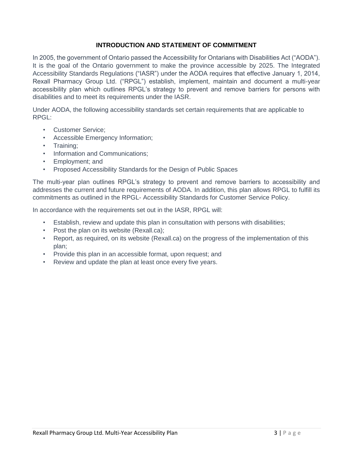## **INTRODUCTION AND STATEMENT OF COMMITMENT**

In 2005, the government of Ontario passed the Accessibility for Ontarians with Disabilities Act ("AODA"). It is the goal of the Ontario government to make the province accessible by 2025. The Integrated Accessibility Standards Regulations ("IASR") under the AODA requires that effective January 1, 2014, Rexall Pharmacy Group Ltd. ("RPGL") establish, implement, maintain and document a multi-year accessibility plan which outlines RPGL's strategy to prevent and remove barriers for persons with disabilities and to meet its requirements under the IASR.

Under AODA, the following accessibility standards set certain requirements that are applicable to RPGL:

- Customer Service;
- Accessible Emergency Information;
- Training;
- Information and Communications;
- Employment; and
- Proposed Accessibility Standards for the Design of Public Spaces

The multi-year plan outlines RPGL's strategy to prevent and remove barriers to accessibility and addresses the current and future requirements of AODA. In addition, this plan allows RPGL to fulfill its commitments as outlined in the RPGL- Accessibility Standards for Customer Service Policy.

In accordance with the requirements set out in the IASR, RPGL will:

- Establish, review and update this plan in consultation with persons with disabilities;
- Post the plan on its website (Rexall.ca);
- Report, as required, on its website (Rexall.ca) on the progress of the implementation of this plan;
- Provide this plan in an accessible format, upon request; and
- Review and update the plan at least once every five years.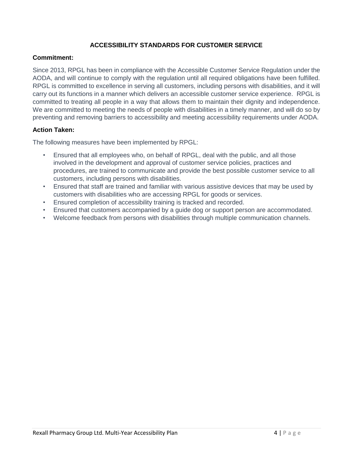## **ACCESSIBILITY STANDARDS FOR CUSTOMER SERVICE**

#### **Commitment:**

Since 2013, RPGL has been in compliance with the Accessible Customer Service Regulation under the AODA, and will continue to comply with the regulation until all required obligations have been fulfilled. RPGL is committed to excellence in serving all customers, including persons with disabilities, and it will carry out its functions in a manner which delivers an accessible customer service experience. RPGL is committed to treating all people in a way that allows them to maintain their dignity and independence. We are committed to meeting the needs of people with disabilities in a timely manner, and will do so by preventing and removing barriers to accessibility and meeting accessibility requirements under AODA.

#### **Action Taken:**

The following measures have been implemented by RPGL:

- Ensured that all employees who, on behalf of RPGL, deal with the public, and all those involved in the development and approval of customer service policies, practices and procedures, are trained to communicate and provide the best possible customer service to all customers, including persons with disabilities.
- Ensured that staff are trained and familiar with various assistive devices that may be used by customers with disabilities who are accessing RPGL for goods or services.
- Ensured completion of accessibility training is tracked and recorded.
- Ensured that customers accompanied by a guide dog or support person are accommodated.
- Welcome feedback from persons with disabilities through multiple communication channels.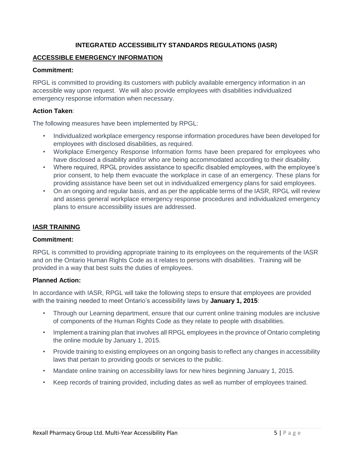## **INTEGRATED ACCESSIBILITY STANDARDS REGULATIONS (IASR)**

#### **ACCESSIBLE EMERGENCY INFORMATION**

#### **Commitment:**

RPGL is committed to providing its customers with publicly available emergency information in an accessible way upon request. We will also provide employees with disabilities individualized emergency response information when necessary.

#### **Action Taken**:

The following measures have been implemented by RPGL:

- Individualized workplace emergency response information procedures have been developed for employees with disclosed disabilities, as required.
- Workplace Emergency Response Information forms have been prepared for employees who have disclosed a disability and/or who are being accommodated according to their disability.
- Where required, RPGL provides assistance to specific disabled employees, with the employee's prior consent, to help them evacuate the workplace in case of an emergency. These plans for providing assistance have been set out in individualized emergency plans for said employees.
- On an ongoing and regular basis, and as per the applicable terms of the IASR, RPGL will review and assess general workplace emergency response procedures and individualized emergency plans to ensure accessibility issues are addressed.

#### **IASR TRAINING**

#### **Commitment:**

RPGL is committed to providing appropriate training to its employees on the requirements of the IASR and on the Ontario Human Rights Code as it relates to persons with disabilities. Training will be provided in a way that best suits the duties of employees.

## **Planned Action:**

In accordance with IASR, RPGL will take the following steps to ensure that employees are provided with the training needed to meet Ontario's accessibility laws by **January 1, 2015**:

- Through our Learning department, ensure that our current online training modules are inclusive of components of the Human Rights Code as they relate to people with disabilities.
- Implement a training plan that involves all RPGL employees in the province of Ontario completing the online module by January 1, 2015.
- Provide training to existing employees on an ongoing basis to reflect any changes in accessibility laws that pertain to providing goods or services to the public.
- Mandate online training on accessibility laws for new hires beginning January 1, 2015.
- Keep records of training provided, including dates as well as number of employees trained.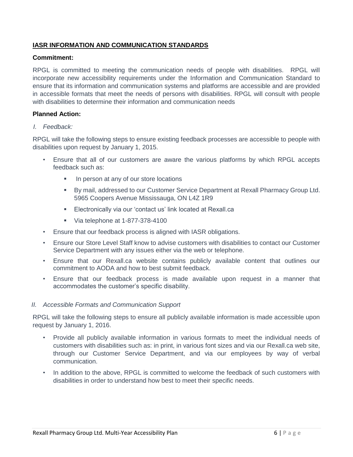## **IASR INFORMATION AND COMMUNICATION STANDARDS**

#### **Commitment:**

RPGL is committed to meeting the communication needs of people with disabilities. RPGL will incorporate new accessibility requirements under the Information and Communication Standard to ensure that its information and communication systems and platforms are accessible and are provided in accessible formats that meet the needs of persons with disabilities. RPGL will consult with people with disabilities to determine their information and communication needs

#### **Planned Action:**

#### *I. Feedback:*

RPGL will take the following steps to ensure existing feedback processes are accessible to people with disabilities upon request by January 1, 2015.

- Ensure that all of our customers are aware the various platforms by which RPGL accepts feedback such as:
	- In person at any of our store locations
	- By mail, addressed to our Customer Service Department at Rexall Pharmacy Group Ltd. 5965 Coopers Avenue Mississauga, ON L4Z 1R9
	- **Electronically via our 'contact us' link located at Rexall.ca**
	- Via telephone at 1-877-378-4100
- Ensure that our feedback process is aligned with IASR obligations.
- Ensure our Store Level Staff know to advise customers with disabilities to contact our Customer Service Department with any issues either via the web or telephone.
- Ensure that our Rexall.ca website contains publicly available content that outlines our commitment to AODA and how to best submit feedback.
- Ensure that our feedback process is made available upon request in a manner that accommodates the customer's specific disability.

#### *II. Accessible Formats and Communication Support*

RPGL will take the following steps to ensure all publicly available information is made accessible upon request by January 1, 2016.

- Provide all publicly available information in various formats to meet the individual needs of customers with disabilities such as: in print, in various font sizes and via our Rexall.ca web site, through our Customer Service Department, and via our employees by way of verbal communication.
- In addition to the above, RPGL is committed to welcome the feedback of such customers with disabilities in order to understand how best to meet their specific needs.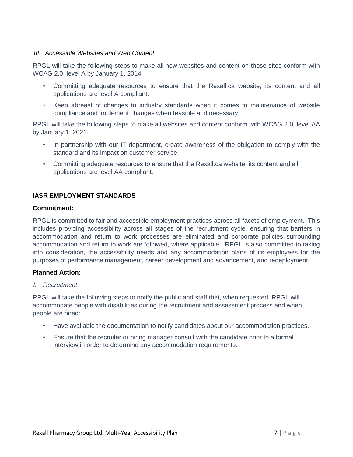#### *III. Accessible Websites and Web Content*

RPGL will take the following steps to make all new websites and content on those sites conform with WCAG 2.0, level A by January 1, 2014:

- Committing adequate resources to ensure that the Rexall.ca website, its content and all applications are level A compliant.
- Keep abreast of changes to industry standards when it comes to maintenance of website compliance and implement changes when feasible and necessary.

RPGL will take the following steps to make all websites and content conform with WCAG 2.0, level AA by January 1, 2021.

- In partnership with our IT department, create awareness of the obligation to comply with the standard and its impact on customer service.
- Committing adequate resources to ensure that the Rexall.ca website, its content and all applications are level AA compliant.

## **IASR EMPLOYMENT STANDARDS**

#### **Commitment:**

RPGL is committed to fair and accessible employment practices across all facets of employment. This includes providing accessibility across all stages of the recruitment cycle, ensuring that barriers in accommodation and return to work processes are eliminated and corporate policies surrounding accommodation and return to work are followed, where applicable. RPGL is also committed to taking into consideration, the accessibility needs and any accommodation plans of its employees for the purposes of performance management, career development and advancement, and redeployment.

#### **Planned Action:**

*I. Recruitment:* 

RPGL will take the following steps to notify the public and staff that, when requested, RPGL will accommodate people with disabilities during the recruitment and assessment process and when people are hired:

- Have available the documentation to notify candidates about our accommodation practices.
- Ensure that the recruiter or hiring manager consult with the candidate prior to a formal interview in order to determine any accommodation requirements.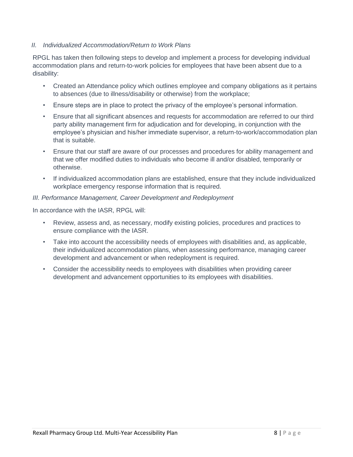## *II. Individualized Accommodation/Return to Work Plans*

RPGL has taken then following steps to develop and implement a process for developing individual accommodation plans and return-to-work policies for employees that have been absent due to a disability:

- Created an Attendance policy which outlines employee and company obligations as it pertains to absences (due to illness/disability or otherwise) from the workplace;
- Ensure steps are in place to protect the privacy of the employee's personal information.
- Ensure that all significant absences and requests for accommodation are referred to our third party ability management firm for adjudication and for developing, in conjunction with the employee's physician and his/her immediate supervisor, a return-to-work/accommodation plan that is suitable.
- Ensure that our staff are aware of our processes and procedures for ability management and that we offer modified duties to individuals who become ill and/or disabled, temporarily or otherwise.
- If individualized accommodation plans are established, ensure that they include individualized workplace emergency response information that is required.

#### *III. Performance Management, Career Development and Redeployment*

In accordance with the IASR, RPGL will:

- Review, assess and, as necessary, modify existing policies, procedures and practices to ensure compliance with the IASR.
- Take into account the accessibility needs of employees with disabilities and, as applicable, their individualized accommodation plans, when assessing performance, managing career development and advancement or when redeployment is required.
- Consider the accessibility needs to employees with disabilities when providing career development and advancement opportunities to its employees with disabilities.